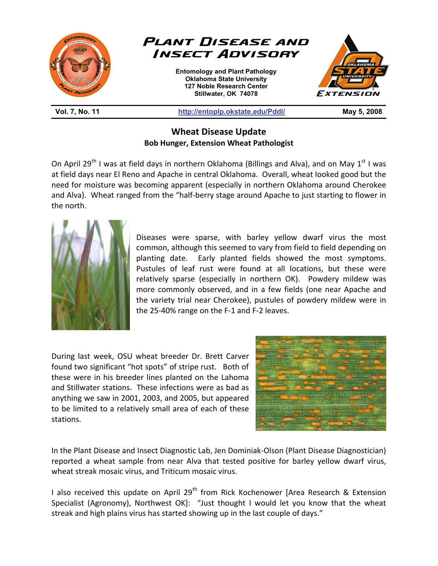

**Wheat Disease Update Bob Hunger, Extension Wheat Pathologist** 

On April 29<sup>th</sup> I was at field days in northern Oklahoma (Billings and Alva), and on May 1<sup>st</sup> I was at field days near El Reno and Apache in central Oklahoma. Overall, wheat looked good but the need for moisture was becoming apparent (especially in northern Oklahoma around Cherokee and Alva). Wheat ranged from the "half-berry stage around Apache to just starting to flower in the north.



Diseases were sparse, with barley yellow dwarf virus the most common, although this seemed to vary from field to field depending on planting date. Early planted fields showed the most symptoms. Pustules of leaf rust were found at all locations, but these were relatively sparse (especially in northern OK). Powdery mildew was more commonly observed, and in a few fields (one near Apache and the variety trial near Cherokee), pustules of powdery mildew were in the 25-40% range on the F-1 and F-2 leaves.

During last week, OSU wheat breeder Dr. Brett Carver found two significant "hot spots" of stripe rust. Both of these were in his breeder lines planted on the Lahoma and Stillwater stations. These infections were as bad as anything we saw in 2001, 2003, and 2005, but appeared to be limited to a relatively small area of each of these stations.



In the Plant Disease and Insect Diagnostic Lab, Jen Dominiak-Olson (Plant Disease Diagnostician) reported a wheat sample from near Alva that tested positive for barley yellow dwarf virus, wheat streak mosaic virus, and Triticum mosaic virus.

I also received this update on April 29<sup>th</sup> from Rick Kochenower [Area Research & Extension Specialist (Agronomy), Northwest OK]: "Just thought I would let you know that the wheat streak and high plains virus has started showing up in the last couple of days."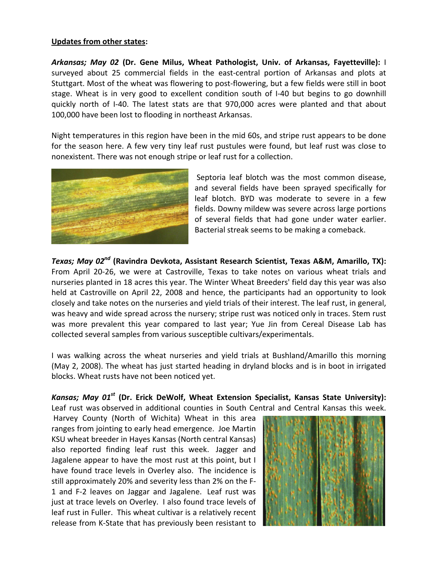## **Updates from other states:**

*Arkansas; May 02* **(Dr. Gene Milus, Wheat Pathologist, Univ. of Arkansas, Fayetteville):** I surveyed about 25 commercial fields in the east-central portion of Arkansas and plots at Stuttgart. Most of the wheat was flowering to post-flowering, but a few fields were still in boot stage. Wheat is in very good to excellent condition south of I-40 but begins to go downhill quickly north of I-40. The latest stats are that 970,000 acres were planted and that about 100,000 have been lost to flooding in northeast Arkansas.

Night temperatures in this region have been in the mid 60s, and stripe rust appears to be done for the season here. A few very tiny leaf rust pustules were found, but leaf rust was close to nonexistent. There was not enough stripe or leaf rust for a collection.



 Septoria leaf blotch was the most common disease, and several fields have been sprayed specifically for leaf blotch. BYD was moderate to severe in a few fields. Downy mildew was severe across large portions of several fields that had gone under water earlier. Bacterial streak seems to be making a comeback.

*Texas; May 02nd* **(Ravindra Devkota, Assistant Research Scientist, Texas A&M, Amarillo, TX):**  From April 20-26, we were at Castroville, Texas to take notes on various wheat trials and nurseries planted in 18 acres this year. The Winter Wheat Breeders' field day this year was also held at Castroville on April 22, 2008 and hence, the participants had an opportunity to look closely and take notes on the nurseries and yield trials of their interest. The leaf rust, in general, was heavy and wide spread across the nursery; stripe rust was noticed only in traces. Stem rust was more prevalent this year compared to last year; Yue Jin from Cereal Disease Lab has collected several samples from various susceptible cultivars/experimentals.

I was walking across the wheat nurseries and yield trials at Bushland/Amarillo this morning (May 2, 2008). The wheat has just started heading in dryland blocks and is in boot in irrigated blocks. Wheat rusts have not been noticed yet.

Kansas; May 01<sup>st</sup> (Dr. Erick DeWolf, Wheat Extension Specialist, Kansas State University): Leaf rust was observed in additional counties in South Central and Central Kansas this week.

 Harvey County (North of Wichita) Wheat in this area ranges from jointing to early head emergence. Joe Martin KSU wheat breeder in Hayes Kansas (North central Kansas) also reported finding leaf rust this week. Jagger and Jagalene appear to have the most rust at this point, but I have found trace levels in Overley also. The incidence is still approximately 20% and severity less than 2% on the F-1 and F-2 leaves on Jaggar and Jagalene. Leaf rust was just at trace levels on Overley. I also found trace levels of leaf rust in Fuller. This wheat cultivar is a relatively recent release from K-State that has previously been resistant to